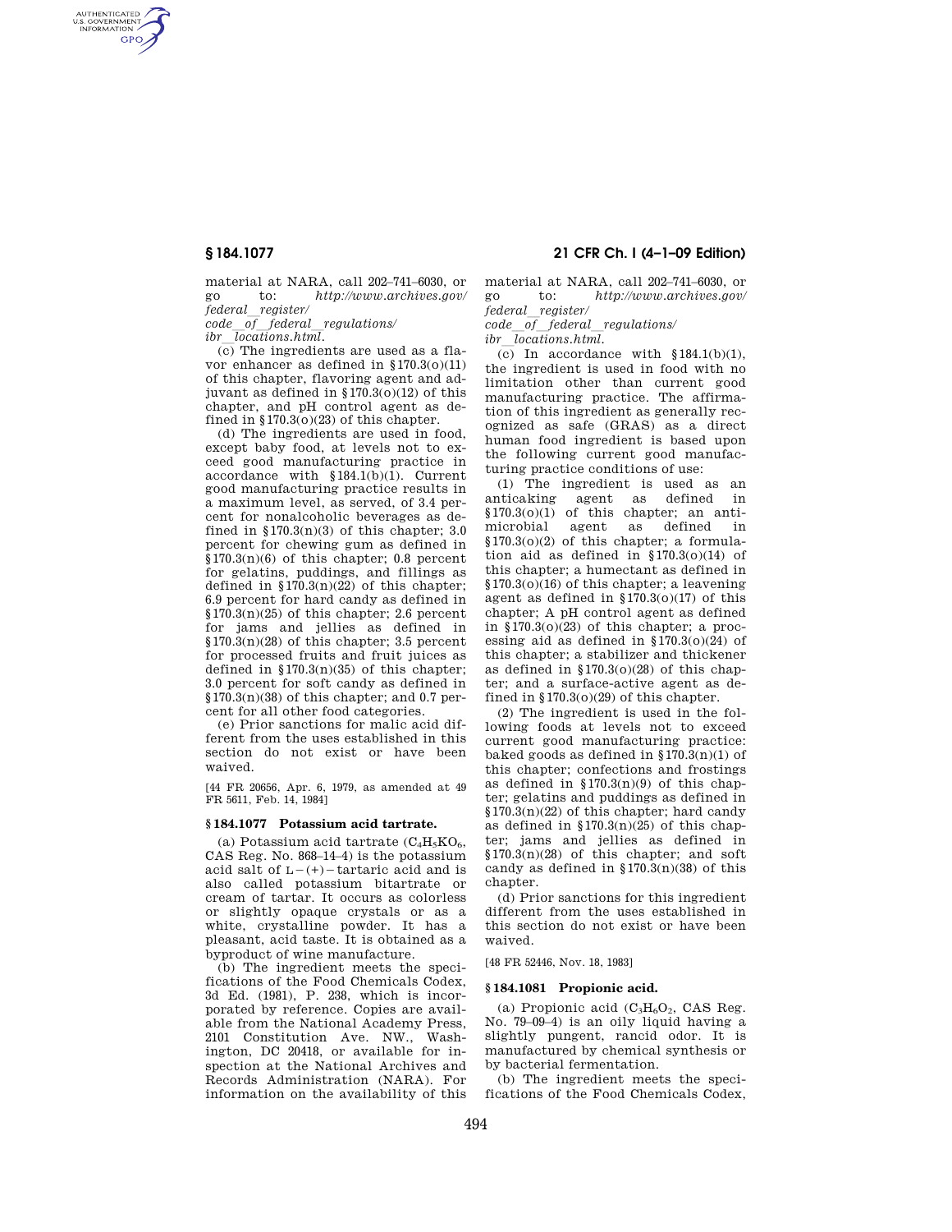AUTHENTICATED<br>U.S. GOVERNMENT<br>INFORMATION **GPO** 

> material at NARA, call 202–741–6030, or go to: *http://www.archives.gov/ federal*l*register/*

*code*l*of*l*federal*l*regulations/* 

*ibr*l*locations.html.* 

(c) The ingredients are used as a flavor enhancer as defined in §170.3(o)(11) of this chapter, flavoring agent and adjuvant as defined in §170.3(o)(12) of this chapter, and pH control agent as defined in  $$170.3(0)(23)$  of this chapter.

(d) The ingredients are used in food, except baby food, at levels not to exceed good manufacturing practice in accordance with §184.1(b)(1). Current good manufacturing practice results in a maximum level, as served, of 3.4 percent for nonalcoholic beverages as defined in  $170.3(n)(3)$  of this chapter; 3.0 percent for chewing gum as defined in  $$170.3(n)(6)$  of this chapter; 0.8 percent for gelatins, puddings, and fillings as defined in  $$170.3(n)(22)$  of this chapter; 6.9 percent for hard candy as defined in  $$170.3(n)(25)$  of this chapter; 2.6 percent for jams and jellies as defined in  $$170.3(n)(28)$  of this chapter; 3.5 percent for processed fruits and fruit juices as defined in  $$170.3(n)(35)$  of this chapter; 3.0 percent for soft candy as defined in  $$170.3(n)(38)$  of this chapter; and 0.7 percent for all other food categories.

(e) Prior sanctions for malic acid different from the uses established in this section do not exist or have been waived.

[44 FR 20656, Apr. 6, 1979, as amended at 49 FR 5611, Feb. 14, 1984]

### **§ 184.1077 Potassium acid tartrate.**

(a) Potassium acid tartrate  $(C_4H_5KO_6$ , CAS Reg. No. 868–14–4) is the potassium acid salt of  $L-(+)$  -tartaric acid and is also called potassium bitartrate or cream of tartar. It occurs as colorless or slightly opaque crystals or as a white, crystalline powder. It has a pleasant, acid taste. It is obtained as a byproduct of wine manufacture.

(b) The ingredient meets the specifications of the Food Chemicals Codex, 3d Ed. (1981), P. 238, which is incorporated by reference. Copies are available from the National Academy Press, 2101 Constitution Ave. NW., Washington, DC 20418, or available for inspection at the National Archives and Records Administration (NARA). For information on the availability of this

# **§ 184.1077 21 CFR Ch. I (4–1–09 Edition)**

material at NARA, call 202–741–6030, or go to: *http://www.archives.gov/* 

*federal*l*register/ code*l*of*l*federal*l*regulations/* 

*ibr*l*locations.html.* 

(c) In accordance with  $$184.1(b)(1)$ , the ingredient is used in food with no limitation other than current good manufacturing practice. The affirmation of this ingredient as generally recognized as safe (GRAS) as a direct human food ingredient is based upon the following current good manufacturing practice conditions of use:

(1) The ingredient is used as an anticaking agent as defined in §170.3(o)(1) of this chapter; an antimicrobial agent as defined in §170.3(o)(2) of this chapter; a formulation aid as defined in  $$170.3(0)(14)$  of this chapter; a humectant as defined in §170.3(o)(16) of this chapter; a leavening agent as defined in  $$170.3(0)(17)$  of this chapter; A pH control agent as defined in §170.3(o)(23) of this chapter; a processing aid as defined in §170.3(o)(24) of this chapter; a stabilizer and thickener as defined in  $$170.3(0)(28)$  of this chapter; and a surface-active agent as defined in  $$170.3(0)(29)$  of this chapter.

(2) The ingredient is used in the following foods at levels not to exceed current good manufacturing practice: baked goods as defined in  $$170.3(n)(1)$  of this chapter; confections and frostings as defined in  $$170.3(n)(9)$  of this chapter; gelatins and puddings as defined in §170.3(n)(22) of this chapter; hard candy as defined in  $$170.3(n)(25)$  of this chapter; jams and jellies as defined in  $$170.3(n)(28)$  of this chapter; and soft candy as defined in  $$170.3(n)(38)$  of this chapter.

(d) Prior sanctions for this ingredient different from the uses established in this section do not exist or have been waived.

[48 FR 52446, Nov. 18, 1983]

### **§ 184.1081 Propionic acid.**

(a) Propionic acid  $(C_3H_6O_2,$  CAS Reg. No. 79–09–4) is an oily liquid having a slightly pungent, rancid odor. It is manufactured by chemical synthesis or by bacterial fermentation.

(b) The ingredient meets the specifications of the Food Chemicals Codex,